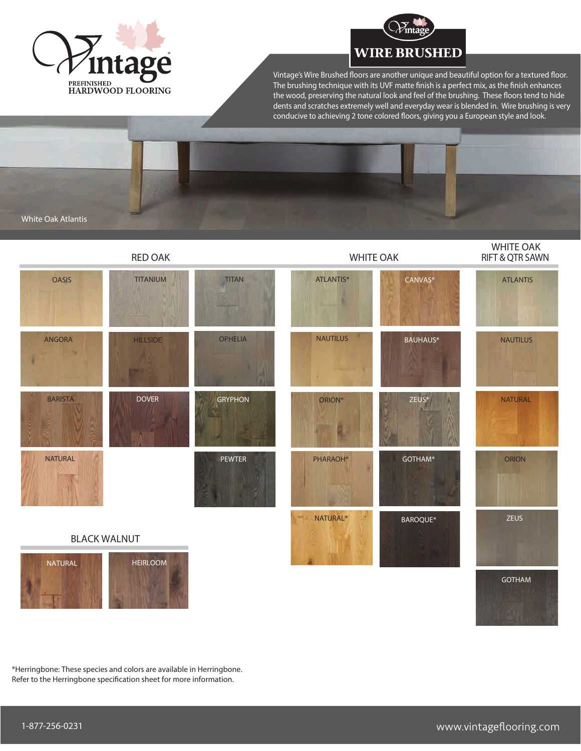



Vintage's Wire Brushed floors are another unique and beautiful option for a textured floor. The brushing technique with its UVF matte finish is a perfect mix, as the finish enhances the wood, preserving the natural look and feel of the brushing. These floors tend to hide dents and scratches extremely well and everyday wear is blended in. Wire brushing is very conducive to achieving 2 tone colored floors, giving you a European style and look.

White Oak Atlantis



\*Herringbone: These species and colors are available in Herringbone. Refer to the Herringbone specification sheet for more information.